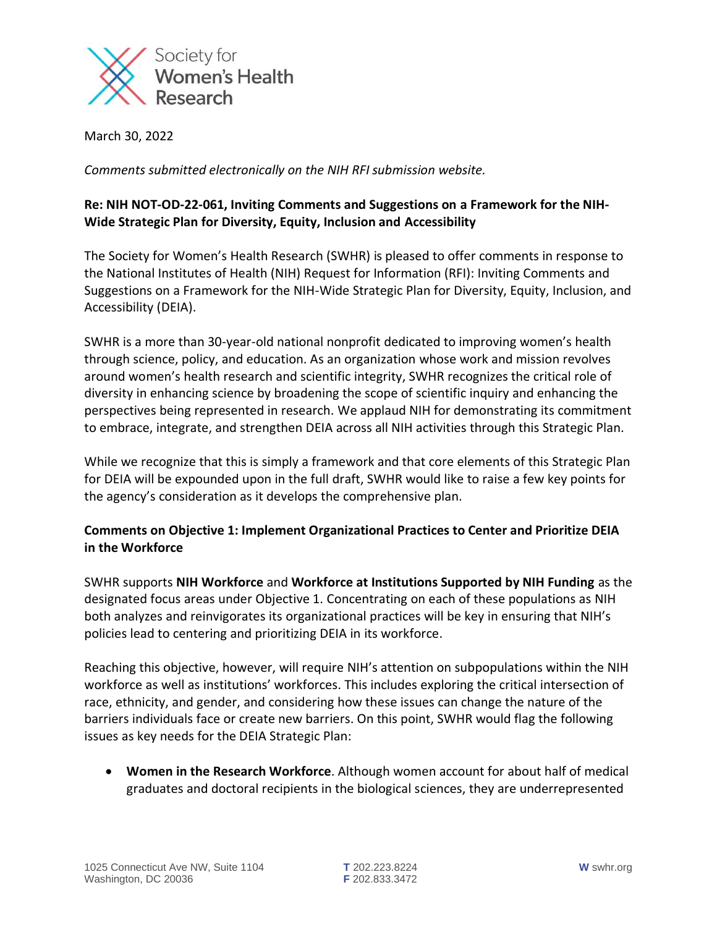

March 30, 2022

*Comments submitted electronically on the NIH RFI submission website.* 

## **Re: NIH NOT-OD-22-061, Inviting Comments and Suggestions on a Framework for the NIH-Wide Strategic Plan for Diversity, Equity, Inclusion and Accessibility**

The Society for Women's Health Research (SWHR) is pleased to offer comments in response to the National Institutes of Health (NIH) Request for Information (RFI): Inviting Comments and Suggestions on a Framework for the NIH-Wide Strategic Plan for Diversity, Equity, Inclusion, and Accessibility (DEIA).

SWHR is a more than 30-year-old national nonprofit dedicated to improving women's health through science, policy, and education. As an organization whose work and mission revolves around women's health research and scientific integrity, SWHR recognizes the critical role of diversity in enhancing science by broadening the scope of scientific inquiry and enhancing the perspectives being represented in research. We applaud NIH for demonstrating its commitment to embrace, integrate, and strengthen DEIA across all NIH activities through this Strategic Plan.

While we recognize that this is simply a framework and that core elements of this Strategic Plan for DEIA will be expounded upon in the full draft, SWHR would like to raise a few key points for the agency's consideration as it develops the comprehensive plan.

## **Comments on Objective 1: Implement Organizational Practices to Center and Prioritize DEIA in the Workforce**

SWHR supports **NIH Workforce** and **Workforce at Institutions Supported by NIH Funding** as the designated focus areas under Objective 1. Concentrating on each of these populations as NIH both analyzes and reinvigorates its organizational practices will be key in ensuring that NIH's policies lead to centering and prioritizing DEIA in its workforce.

Reaching this objective, however, will require NIH's attention on subpopulations within the NIH workforce as well as institutions' workforces. This includes exploring the critical intersection of race, ethnicity, and gender, and considering how these issues can change the nature of the barriers individuals face or create new barriers. On this point, SWHR would flag the following issues as key needs for the DEIA Strategic Plan:

• **Women in the Research Workforce**. Although women account for about half of medical graduates and doctoral recipients in the biological sciences, they are underrepresented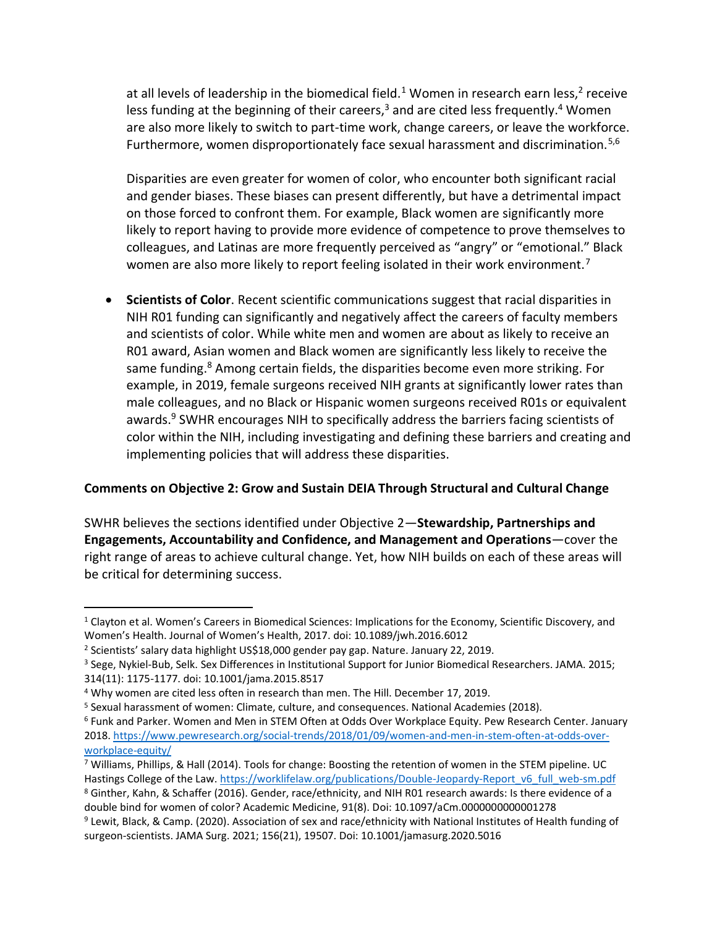at all levels of leadership in the biomedical field.<sup>1</sup> Women in research earn less,<sup>2</sup> receive less funding at the beginning of their careers, $3$  and are cited less frequently.<sup>4</sup> Women are also more likely to switch to part-time work, change careers, or leave the workforce. Furthermore, women disproportionately face sexual harassment and discrimination.<sup>5,6</sup>

Disparities are even greater for women of color, who encounter both significant racial and gender biases. These biases can present differently, but have a detrimental impact on those forced to confront them. For example, Black women are significantly more likely to report having to provide more evidence of competence to prove themselves to colleagues, and Latinas are more frequently perceived as "angry" or "emotional." Black women are also more likely to report feeling isolated in their work environment.<sup>7</sup>

• **Scientists of Color**. Recent scientific communications suggest that racial disparities in NIH R01 funding can significantly and negatively affect the careers of faculty members and scientists of color. While white men and women are about as likely to receive an R01 award, Asian women and Black women are significantly less likely to receive the same funding.<sup>8</sup> Among certain fields, the disparities become even more striking. For example, in 2019, female surgeons received NIH grants at significantly lower rates than male colleagues, and no Black or Hispanic women surgeons received R01s or equivalent awards.<sup>9</sup> SWHR encourages NIH to specifically address the barriers facing scientists of color within the NIH, including investigating and defining these barriers and creating and implementing policies that will address these disparities.

## **Comments on Objective 2: Grow and Sustain DEIA Through Structural and Cultural Change**

SWHR believes the sections identified under Objective 2—**Stewardship, Partnerships and Engagements, Accountability and Confidence, and Management and Operations**—cover the right range of areas to achieve cultural change. Yet, how NIH builds on each of these areas will be critical for determining success.

<sup>8</sup> Ginther, Kahn, & Schaffer (2016). Gender, race/ethnicity, and NIH R01 research awards: Is there evidence of a double bind for women of color? Academic Medicine, 91(8). Doi: 10.1097/aCm.0000000000001278

<sup>&</sup>lt;sup>1</sup> Clayton et al. Women's Careers in Biomedical Sciences: Implications for the Economy, Scientific Discovery, and Women's Health. Journal of Women's Health, 2017. doi: 10.1089/jwh.2016.6012

<sup>&</sup>lt;sup>2</sup> Scientists' salary data highlight US\$18,000 gender pay gap. Nature. January 22, 2019.

<sup>3</sup> Sege, Nykiel-Bub, Selk. Sex Differences in Institutional Support for Junior Biomedical Researchers. JAMA. 2015; 314(11): 1175-1177. doi: 10.1001/jama.2015.8517

<sup>4</sup> Why women are cited less often in research than men. The Hill. December 17, 2019.

<sup>5</sup> Sexual harassment of women: Climate, culture, and consequences. National Academies (2018).

<sup>6</sup> Funk and Parker. Women and Men in STEM Often at Odds Over Workplace Equity. Pew Research Center. January 2018. [https://www.pewresearch.org/social-trends/2018/01/09/women-and-men-in-stem-often-at-odds-over](https://www.pewresearch.org/social-trends/2018/01/09/women-and-men-in-stem-often-at-odds-over-workplace-equity/)[workplace-equity/](https://www.pewresearch.org/social-trends/2018/01/09/women-and-men-in-stem-often-at-odds-over-workplace-equity/)

<sup>7</sup> Williams, Phillips, & Hall (2014). Tools for change: Boosting the retention of women in the STEM pipeline. UC Hastings College of the Law. [https://worklifelaw.org/publications/Double-Jeopardy-Report\\_v6\\_full\\_web-sm.pdf](https://worklifelaw.org/publications/Double-Jeopardy-Report_v6_full_web-sm.pdf)

<sup>9</sup> Lewit, Black, & Camp. (2020). Association of sex and race/ethnicity with National Institutes of Health funding of surgeon-scientists. JAMA Surg. 2021; 156(21), 19507. Doi: 10.1001/jamasurg.2020.5016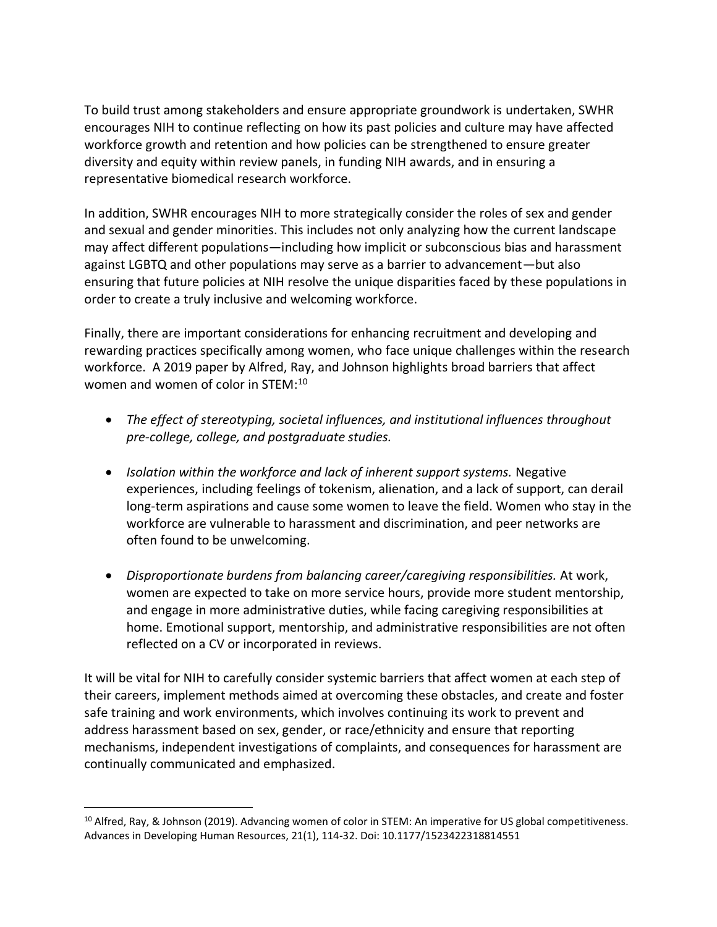To build trust among stakeholders and ensure appropriate groundwork is undertaken, SWHR encourages NIH to continue reflecting on how its past policies and culture may have affected workforce growth and retention and how policies can be strengthened to ensure greater diversity and equity within review panels, in funding NIH awards, and in ensuring a representative biomedical research workforce.

In addition, SWHR encourages NIH to more strategically consider the roles of sex and gender and sexual and gender minorities. This includes not only analyzing how the current landscape may affect different populations—including how implicit or subconscious bias and harassment against LGBTQ and other populations may serve as a barrier to advancement—but also ensuring that future policies at NIH resolve the unique disparities faced by these populations in order to create a truly inclusive and welcoming workforce.

Finally, there are important considerations for enhancing recruitment and developing and rewarding practices specifically among women, who face unique challenges within the research workforce. A 2019 paper by Alfred, Ray, and Johnson highlights broad barriers that affect women and women of color in STEM:<sup>10</sup>

- *The effect of stereotyping, societal influences, and institutional influences throughout pre-college, college, and postgraduate studies.*
- *Isolation within the workforce and lack of inherent support systems.* Negative experiences, including feelings of tokenism, alienation, and a lack of support, can derail long-term aspirations and cause some women to leave the field. Women who stay in the workforce are vulnerable to harassment and discrimination, and peer networks are often found to be unwelcoming.
- *Disproportionate burdens from balancing career/caregiving responsibilities.* At work, women are expected to take on more service hours, provide more student mentorship, and engage in more administrative duties, while facing caregiving responsibilities at home. Emotional support, mentorship, and administrative responsibilities are not often reflected on a CV or incorporated in reviews.

It will be vital for NIH to carefully consider systemic barriers that affect women at each step of their careers, implement methods aimed at overcoming these obstacles, and create and foster safe training and work environments, which involves continuing its work to prevent and address harassment based on sex, gender, or race/ethnicity and ensure that reporting mechanisms, independent investigations of complaints, and consequences for harassment are continually communicated and emphasized.

<sup>&</sup>lt;sup>10</sup> Alfred, Ray, & Johnson (2019). Advancing women of color in STEM: An imperative for US global competitiveness. Advances in Developing Human Resources, 21(1), 114-32. Doi: 10.1177/1523422318814551